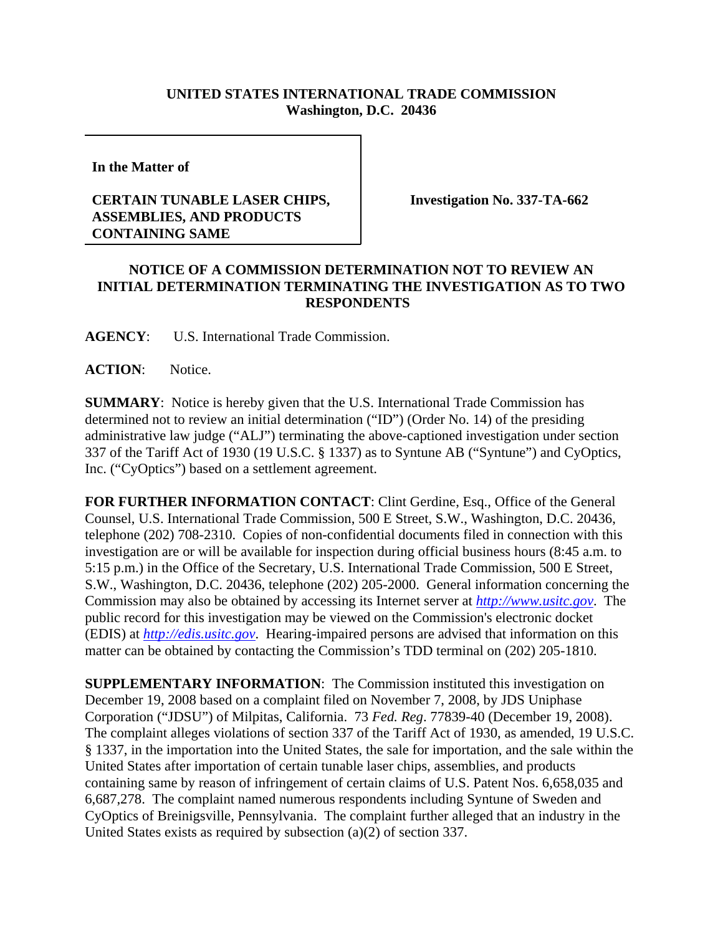## **UNITED STATES INTERNATIONAL TRADE COMMISSION Washington, D.C. 20436**

**In the Matter of** 

## **CERTAIN TUNABLE LASER CHIPS, ASSEMBLIES, AND PRODUCTS CONTAINING SAME**

**Investigation No. 337-TA-662**

## **NOTICE OF A COMMISSION DETERMINATION NOT TO REVIEW AN INITIAL DETERMINATION TERMINATING THE INVESTIGATION AS TO TWO RESPONDENTS**

**AGENCY**: U.S. International Trade Commission.

ACTION: Notice.

**SUMMARY**: Notice is hereby given that the U.S. International Trade Commission has determined not to review an initial determination ("ID") (Order No. 14) of the presiding administrative law judge ("ALJ") terminating the above-captioned investigation under section 337 of the Tariff Act of 1930 (19 U.S.C. § 1337) as to Syntune AB ("Syntune") and CyOptics, Inc. ("CyOptics") based on a settlement agreement.

**FOR FURTHER INFORMATION CONTACT**: Clint Gerdine, Esq., Office of the General Counsel, U.S. International Trade Commission, 500 E Street, S.W., Washington, D.C. 20436, telephone (202) 708-2310. Copies of non-confidential documents filed in connection with this investigation are or will be available for inspection during official business hours (8:45 a.m. to 5:15 p.m.) in the Office of the Secretary, U.S. International Trade Commission, 500 E Street, S.W., Washington, D.C. 20436, telephone (202) 205-2000. General information concerning the Commission may also be obtained by accessing its Internet server at *http://www.usitc.gov*. The public record for this investigation may be viewed on the Commission's electronic docket (EDIS) at *http://edis.usitc.gov*. Hearing-impaired persons are advised that information on this matter can be obtained by contacting the Commission's TDD terminal on (202) 205-1810.

**SUPPLEMENTARY INFORMATION**: The Commission instituted this investigation on December 19, 2008 based on a complaint filed on November 7, 2008, by JDS Uniphase Corporation ("JDSU") of Milpitas, California. 73 *Fed. Reg*. 77839-40 (December 19, 2008). The complaint alleges violations of section 337 of the Tariff Act of 1930, as amended, 19 U.S.C. § 1337, in the importation into the United States, the sale for importation, and the sale within the United States after importation of certain tunable laser chips, assemblies, and products containing same by reason of infringement of certain claims of U.S. Patent Nos. 6,658,035 and 6,687,278. The complaint named numerous respondents including Syntune of Sweden and CyOptics of Breinigsville, Pennsylvania. The complaint further alleged that an industry in the United States exists as required by subsection (a)(2) of section 337.